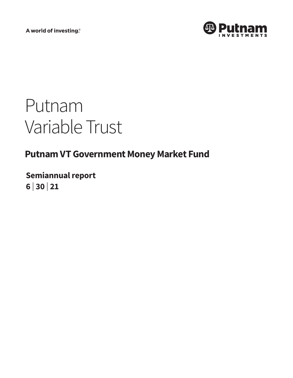A world of investing®



# Putnam Variable Trust

## **Putnam VT Government Money Market Fund**

**Semiannual report 6 <sup>|</sup> 30 <sup>|</sup> 21**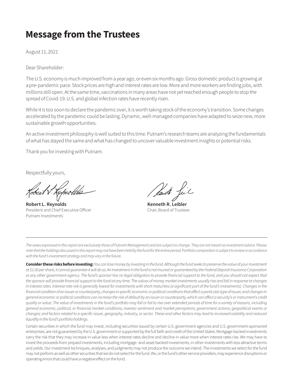## **Message from the Trustees**

August 11, 2021

Dear Shareholder:

The U.S. economy is much improved from a year ago, or even six months ago. Gross domestic product is growing at a pre-pandemic pace. Stock prices are high and interest rates are low. More and more workers are finding jobs, with millions still open. At the same time, vaccinations in many areas have not yet reached enough people to stop the spread of Covid-19. U.S. and global infection rates have recently risen.

While it is too soon to declare the pandemic over, it is worth taking stock of the economy's transition. Some changes accelerated by the pandemic could be lasting. Dynamic, well-managed companies have adapted to seize new, more sustainable growth opportunities.

An active investment philosophy is well suited to this time. Putnam's research teams are analyzing the fundamentals of what has stayed the same and what has changed to uncover valuable investment insights or potential risks.

Thank you for investing with Putnam.

Respectfully yours,

Lichioli

**Robert L. Reynolds Kenneth R. Leibler** President and Chief Executive Officer Chair, Board of Trustees Putnam Investments

*The views expressed in this report are exclusively those of Putnam Management and are subject to change. They are not meant as investment advice. Please note that the holdings discussed in this report may not have been held by the fund for the entire period. Portfolio composition is subject to review in accordance with the fund's investment strategy and may vary in the future.*

**Consider these risks before investing:** *You can lose money by investing in the fund. Although the fund seeks to preserve the value of your investment at \$1.00 per share, it cannot guarantee it will do so. An investment in the fund is not insured or guaranteed by the Federal Deposit Insurance Corporation or any other government agency. The fund's sponsor has no legal obligation to provide financial support to the fund, and you should not expect that*  the sponsor will provide financial support to the fund at any time. The values of money market investments usually rise and fall in response to changes in interest rates. Interest-rate risk is generally lowest for investments with short maturities (a significant part of the fund's investments). Changes in the financial condition of an issuer or counterparty, changes in specific economic or political conditions that affect a particular type of issuer, and changes in *general economic or political conditions can increase the risk of default by an issuer or counterparty, which can affect a security's or instrument's credit quality or value. The value of investments in the fund's portfolio may fall or fail to rise over extended periods of time for a variety of reasons, including general economic, political, or financial market conditions; investor sentiment and market perceptions; government actions; geopolitical events or changes; and factors related to a specific issuer, geography, industry, or sector. These and other factors may lead to increased volatility and reduced liquidity in the fund's portfolio holdings.*

Certain securities in which the fund may invest, including securities issued by certain U.S. government agencies and U.S. government-sponsored enterprises, are not guaranteed by the U.S. government or supported by the full faith and credit of the United States. Mortgage-backed investments carry the risk that they may increase in value less when interest rates decline and decline in value more when interest rates rise. We may have to invest the proceeds from prepaid investments, including mortgage- and asset-backed investments, in other investments with less attractive terms and yields. Our investment techniques, analyses, and judgments may not produce the outcome we intend. The investments we select for the fund may not perform as well as other securities that we do not select for the fund. We, or the fund's other service providers, may experience disruptions or operating errors that could have a negative effect on the fund.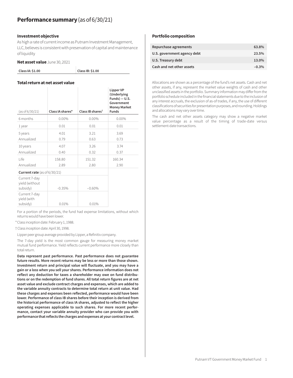#### **Investment objective**

As high a rate of current income as Putnam Investment Management, LLC, believes is consistent with preservation of capital and maintenance of liquidity

#### **Net asset value** June 30, 2021

| Class IA: \$1.00 | Class IB: \$1.00 |
|------------------|------------------|
|                  |                  |

#### **Total return at net asset value**

| (as of 6/30/21) | Class IA shares* | Class IB shares <sup>t</sup> | Lipper VP<br>(Underlying<br>$Funds$ – U.S.<br>Government<br><b>Money Market</b><br><b>Funds</b> |
|-----------------|------------------|------------------------------|-------------------------------------------------------------------------------------------------|
| 6 months        | $0.00\%$         | $0.00\%$                     | $0.00\%$                                                                                        |
| 1 year          | 0.01             | 0.01                         | 0.01                                                                                            |
| 5 years         | 4.01             | 3.21                         | 3.69                                                                                            |
| Annualized      | 0.79             | 0.63                         | 0.73                                                                                            |
| 10 years        | 4.07             | 3.26                         | 3.74                                                                                            |
| Annualized      | 0.40             | 0.32                         | 0.37                                                                                            |
| l ife           | 158.80           | 151.32                       | 160.34                                                                                          |
| Annualized      | 2.89             | 2.80                         | 2.90                                                                                            |

#### **Current rate** (as of 6/30/21)

| Current 7-day<br>yield (without |          |          |
|---------------------------------|----------|----------|
| subsidy)                        | $-0.35%$ | $-0.60%$ |
| Current 7-day<br>yield (with    |          |          |
| subsidy)                        | 0.01%    | 0.01%    |

For a portion of the periods, the fund had expense limitations, without which returns would have been lower.

\*Class inception date: February 1, 1988.

† Class inception date: April 30, 1998.

Lipper peer group average provided by Lipper, a Refinitiv company.

The 7-day yield is the most common gauge for measuring money market mutual fund performance. Yield reflects current performance more closely than total return.

**Data represent past performance. Past performance does not guarantee future results. More recent returns may be less or more than those shown. Investment return and principal value will fluctuate, and you may have a gain or a loss when you sell your shares. Performance information does not reflect any deduction for taxes a shareholder may owe on fund distributions or on the redemption of fund shares. All total return figures are at net asset value and exclude contract charges and expenses, which are added to the variable annuity contracts to determine total return at unit value. Had these charges and expenses been reflected, performance would have been lower. Performance of class IB shares before their inception is derived from the historical performance of class IA shares, adjusted to reflect the higher operating expenses applicable to such shares. For more recent performance, contact your variable annuity provider who can provide you with performance that reflects the charges and expenses at your contract level.**

#### **Portfolio composition**

| Repurchase agreements       | 63.8%   |
|-----------------------------|---------|
| U.S. government agency debt | 23.5%   |
| U.S. Treasury debt          | 13.0%   |
| Cash and net other assets   | $-0.3%$ |
|                             |         |

Allocations are shown as a percentage of the fund's net assets. Cash and net other assets, if any, represent the market value weights of cash and other unclassified assets in the portfolio. Summary information may differ from the portfolio schedule included in the financial statements due to the inclusion of any interest accruals, the exclusion of as-of trades, if any, the use of different classifications of securities for presentation purposes, and rounding. Holdings and allocations may vary over time.

The cash and net other assets category may show a negative market value percentage as a result of the timing of trade-date versus settlement-date transactions.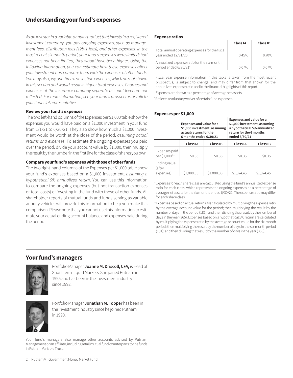## **Understanding your fund's expenses**

*As an investor in a variable annuity product that invests in a registered investment company, you pay ongoing expenses, such as management fees, distribution fees (12b-1 fees), and other expenses. In the most recent six-month period, your fund's expenses were limited; had expenses not been limited, they would have been higher. Using the following information, you can estimate how these expenses affect your investment and compare them with the expenses of other funds. You may also pay one-time transaction expenses, which are not shown in this section and would result in higher total expenses. Charges and expenses at the insurance company separate account level are not reflected. For more information, see your fund's prospectus or talk to your financial representative.*

#### **Review your fund's expenses**

The two left-hand columns of the Expenses per \$1,000 table show the expenses you would have paid on a \$1,000 investment in your fund from  $1/1/21$  to  $6/30/21$ . They also show how much a \$1,000 investment would be worth at the close of the period, *assuming actual returns and expenses*. To estimate the ongoing expenses you paid over the period, divide your account value by \$1,000, then multiply the result by the number in the first line for the class of shares you own.

#### **Compare your fund's expenses with those of other funds**

The two right-hand columns of the Expenses per \$1,000 table show your fund's expenses based on a \$1,000 investment, *assuming a hypothetical 5% annualized return*. You can use this information to compare the ongoing expenses (but not transaction expenses or total costs) of investing in the fund with those of other funds. All shareholder reports of mutual funds and funds serving as variable annuity vehicles will provide this information to help you make this comparison. Please note that you cannot use this information to estimate your actual ending account balance and expenses paid during the period.

#### **Expense ratios**

|                                                                       | Class IA | Class IB |
|-----------------------------------------------------------------------|----------|----------|
| Total annual operating expenses for the fiscal<br>year ended 12/31/20 | 0.45%    | 0.70%    |
| Annualized expense ratio for the six-month<br>period ended 6/30/21*   | 0.07%    | በ በ7%    |

Fiscal year expense information in this table is taken from the most recent prospectus, is subject to change, and may differ from that shown for the annualized expense ratio and in the financial highlights of this report.

Expenses are shown as a percentage of average net assets.

\*Reflects a voluntary waiver of certain fund expenses.

#### **Expenses per \$1,000**

|                                     | Expenses and value for a<br>\$1,000 investment, assuming<br>actual returns for the<br>6 months ended 6/30/21 |            | Expenses and value for a<br>\$1,000 investment, assuming<br>return for the 6 months<br>ended 6/30/21 | a hypothetical 5% annualized |
|-------------------------------------|--------------------------------------------------------------------------------------------------------------|------------|------------------------------------------------------------------------------------------------------|------------------------------|
|                                     | Class IA                                                                                                     | Class IB   | Class IA                                                                                             | Class IB                     |
| Expenses paid<br>per \$1,000*†      | \$0.35                                                                                                       | \$0.35     | \$0.35                                                                                               | \$0.35                       |
| Ending value<br>(after<br>expenses) | \$1,000.00                                                                                                   | \$1,000.00 | \$1,024.45                                                                                           | \$1,024.45                   |

\*Expenses for each share class are calculated using the fund's annualized expense ratio for each class, which represents the ongoing expenses as a percentage of average net assets for the six months ended 6/30/21. The expense ratio may differ for each share class.

†Expenses based on actual returns are calculated by multiplying the expense ratio by the average account value for the period; then multiplying the result by the number of days in the period (181); and then dividing that result by the number of days in the year (365). Expenses based on a hypothetical 5% return are calculated by multiplying the expense ratio by the average account value for the six-month period; then multiplying the result by the number of days in the six-month period (181); and then dividing that result by the number of days in the year (365).

### **Your fund's managers**



Portfolio Manager **Joanne M. Driscoll, CFA,** is Head of Short Term Liquid Markets. She joined Putnam in 1995 and has been in the investment industry since 1992.



Portfolio Manager **Jonathan M. Topper** has been in the investment industry since he joined Putnam in 1990.

Your fund's managers also manage other accounts advised by Putnam Management or an affiliate, including retail mutual fund counterparts to the funds in Putnam Variable Trust.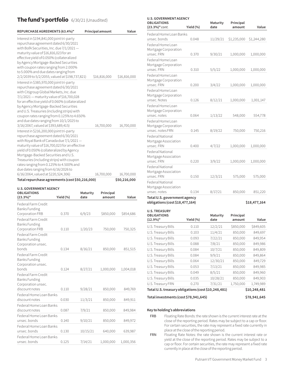## **The fund's portfolio** 6/30/21 (Unaudited)

| REPURCHASE AGREEMENTS (63.4%)*                                                                                                                                                                                                                                                                                                                                                                                                                       | Principal amount | Value        |
|------------------------------------------------------------------------------------------------------------------------------------------------------------------------------------------------------------------------------------------------------------------------------------------------------------------------------------------------------------------------------------------------------------------------------------------------------|------------------|--------------|
| Interest in \$194,841,000 joint tri-party<br>repurchase agreement dated 6/30/2021<br>with BofA Securities, Inc. due 7/1/2021-<br>maturity value of \$16,816,023 for an<br>effective yield of 0.050% (collateralized<br>by Agency Mortgage-Backed Securities<br>with coupon rates ranging from 2.000%<br>to 5.000% and due dates ranging from<br>2/2/2039 to 5/2/2055, valued at \$198,737,821)                                                       | \$16,816,000     | \$16,816,000 |
| Interest in \$385,970,000 joint tri-party<br>repurchase agreement dated 6/30/2021<br>with Citigroup Global Markets, Inc. due<br>7/1/2021 - maturity value of \$16,700,028<br>for an effective yield of 0.060% (collateralized<br>by Agency Mortgage-Backed Securities<br>and U.S. Treasuries (including strips) with<br>coupon rates ranging from 0.125% to 4.650%<br>and due dates ranging from 10/1/2025 to<br>3/16/2067, valued at \$393,689,415) | 16,700,000       | 16,700,000   |
| Interest in \$216,200,000 joint tri-party<br>repurchase agreement dated 6/30/2021<br>with Royal Bank of Canada due 7/1/2021-<br>maturity value of \$16,700,023 for an effective<br>yield of 0.050% (collateralized by Agency<br>Mortgage-Backed Securities and U.S.<br>Treasuries (including strips) with coupon<br>rates ranging from 0.125% to 4.500% and<br>due dates ranging from 6/16/2026 to<br>6/16/2064, valued at \$220,524,306)            | 16,700,000       | 16,700,000   |
| Total repurchase agreements (cost \$50,216,000)                                                                                                                                                                                                                                                                                                                                                                                                      |                  | \$50,216,000 |

| <b>U.S. GOVERNMENT AGENCY</b>                                                       |           |                  |                     |           |
|-------------------------------------------------------------------------------------|-----------|------------------|---------------------|-----------|
| <b>OBLIGATIONS</b><br>$(23.3\%)^*$                                                  | Yield (%) | Maturity<br>date | Principal<br>amount | Value     |
| Federal Farm Credit<br><b>Banks Funding</b>                                         |           |                  |                     |           |
| Corporation FRB                                                                     | 0.370     | 6/9/23           | \$850,000           | \$854,686 |
| Federal Farm Credit<br><b>Banks Funding</b>                                         |           |                  |                     |           |
| Corporation FRB                                                                     | 0.110     | 1/20/23          | 750,000             | 750,325   |
| Federal Farm Credit<br>Banks Funding<br>Corporation unsec.                          |           |                  |                     |           |
| bonds                                                                               | 0.134     | 8/16/21          | 850,000             | 851,515   |
| Federal Farm Credit<br><b>Banks Funding</b><br>Corporation unsec.                   |           |                  |                     |           |
| bonds                                                                               | 0.124     | 8/27/21          | 1,000,000           | 1,004,018 |
| Federal Farm Credit<br><b>Banks Funding</b><br>Corporation unsec.<br>discount notes | 0.110     | 9/28/21          | 850,000             | 849,769   |
| Federal Home Loan Banks<br>discount notes                                           | 0.030     | 11/3/21          | 850,000             | 849,911   |
| Federal Home Loan Banks<br>discount notes                                           | 0.087     | 7/9/21           | 850,000             | 849,984   |
| Federal Home Loan Banks<br>unsec. bonds                                             | 0.140     | 9/10/21          | 850,000             | 849,972   |
| Federal Home Loan Banks<br>unsec. bonds                                             | 0.130     | 10/15/21         | 640,000             | 639,987   |
| Federal Home Loan Banks<br>unsec. bonds                                             | 0.125     | 7/14/21          | 1,000,000           | 1,000,356 |

| <b>U.S. GOVERNMENT AGENCY</b><br><b>OBLIGATIONS</b>             |           | Maturity         | Principal           |              |
|-----------------------------------------------------------------|-----------|------------------|---------------------|--------------|
| $(23.3%)* cont.$                                                | Yield (%) | date             | amount              | Value        |
| Federal Home Loan Banks                                         |           |                  |                     |              |
| unsec. bonds                                                    | 0.048     | 11/29/21         | \$1,235,000         | \$1,244,280  |
| Federal Home Loan<br>Mortgage Corporation<br>unsec. FRN         | 0.370     | 9/30/21          | 1,000,000           | 1,000,000    |
| Federal Home Loan                                               |           |                  |                     |              |
| Mortgage Corporation<br>unsec. FRN                              | 0.310     | 5/5/22           | 1,000,000           | 1,000,000    |
| Federal Home Loan<br>Mortgage Corporation<br>unsec. FRN         | 0.200     | 3/4/22           | 1,000,000           | 1,000,000    |
| Federal Home Loan<br>Mortgage Corporation<br>unsec. Notes       | 0.126     | 8/12/21          | 1,000,000           | 1,001,147    |
| Federal Home Loan<br>Mortgage Corporation<br>unsec. notes       | 0.064     | 1/13/22          | 548,000             | 554,778      |
| Federal Home Loan<br>Mortgage Corporation<br>unsec. notes FRN   | 0.145     | 8/19/22          | 750,000             | 750,216      |
| <b>Federal National</b><br>Mortgage Association<br>unsec. FRN   | 0.400     | 4/7/22           | 1,000,000           | 1,000,000    |
| Federal National<br>Mortgage Association<br>unsec. FRN          | 0.220     | 3/9/22           | 1,000,000           | 1,000,000    |
| <b>Federal National</b><br>Mortgage Association<br>unsec. FRN   | 0.150     | 12/3/21          | 575,000             | 575,000      |
| <b>Federal National</b><br>Mortgage Association                 |           |                  |                     |              |
| unsec. notes                                                    | 0.134     | 8/17/21          | 850,000             | 851,220      |
| Total U.S. government agency<br>obligations (cost \$18,477,164) |           |                  |                     | \$18,477,164 |
| <b>U.S. TREASURY</b><br><b>OBLIGATIONS</b><br>$(12.9\%)*$       | Yield (%) | Maturity<br>date | Principal<br>amount | Value        |

| <b>OBLIGATIONS</b><br>$(12.9\%)^*$                  | Yield (%) | Maturity<br>date | Principal<br>amount | Value        |
|-----------------------------------------------------|-----------|------------------|---------------------|--------------|
| U.S. Treasury Bills                                 | 0.110     | 12/2/21          | \$850,000           | \$849,605    |
| U.S. Treasury Bills                                 | 0.103     | 11/4/21          | 850,000             | 849,697      |
| U.S. Treasury Bills                                 | 0.093     | 7/22/21          | 850,000             | 849,954      |
| U.S. Treasury Bills                                 | 0.088     | 7/8/21           | 850,000             | 849,986      |
| U.S. Treasury Bills                                 | 0.084     | 10/7/21          | 850,000             | 849,809      |
| U.S. Treasury Bills                                 | 0.084     | 9/9/21           | 850,000             | 849,864      |
| U.S. Treasury Bills                                 | 0.064     | 12/30/21         | 850,000             | 849,729      |
| U.S. Treasury Bills                                 | 0.053     | 7/13/21          | 850,000             | 849,985      |
| U.S. Treasury Bills                                 | 0.049     | 8/5/21           | 850,000             | 849,960      |
| U.S. Treasury Bills                                 | 0.035     | 10/28/21         | 850,000             | 849,903      |
| U.S. Treasury FRN                                   | 0.270     | 7/31/21          | 1,750,000           | 1,749,989    |
| Total U.S. treasury obligations (cost \$10,248,481) |           |                  |                     | \$10,248,481 |

## **Total investments (cost \$78,941,645) \$78,941,645**

**Key to holding's abbreviations**

FRB Floating Rate Bonds: the rate shown is the current interest rate at the close of the reporting period. Rates may be subject to a cap or floor. For certain securities, the rate may represent a fixed rate currently in place at the close of the reporting period.

FRN Floating Rate Notes: the rate shown is the current interest rate or yield at the close of the reporting period. Rates may be subject to a cap or floor. For certain securities, the rate may represent a fixed rate currently in place at the close of the reporting period.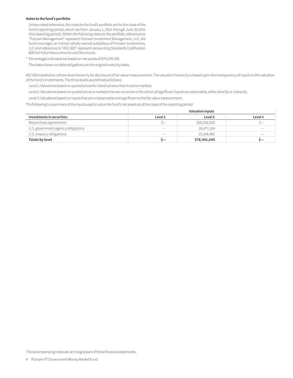#### **Notes to the fund's portfolio**

Unless noted otherwise, the notes to the fund's portfolio are for the close of the fund's reporting period, which ran from January 1, 2021 through June 30 2021 (the reporting period). Within the following notes to the portfolio, references to "Putnam Management" represent Putnam Investment Management, LLC, the fund's manager, an indirect wholly-owned subsidiary of Putnam Investments, LLC and references to "ASC 820" represent Accounting Standards Codification 820 *Fair Value Measurements and Disclosures*.

\* Percentages indicated are based on net assets of \$79,239,159.

The dates shown on debt obligations are the original maturity dates.

ASC 820 establishes a three-level hierarchy for disclosure of fair value measurements. The valuation hierarchy is based upon the transparency of inputs to the valuation of the fund's investments. The three levels are defined as follows:

Level 1: Valuations based on quoted prices for identical securities in active markets.

Level 2: Valuations based on quoted prices in markets that are not active or for which all significant inputs are observable, either directly or indirectly.

Level 3: Valuations based on inputs that are unobservable and significant to the fair value measurement.

The following is a summary of the inputs used to value the fund's net assets as of the close of the reporting period:

|                                    | <b>Valuation inputs</b> |              |                          |
|------------------------------------|-------------------------|--------------|--------------------------|
| Investments in securities:         | Level 1                 | Level 2      | Level 3                  |
| Repurchase agreements              | $\sim$                  | \$50,216,000 |                          |
| U.S. government agency obligations |                         | 18,477,164   | $\overline{\phantom{a}}$ |
| U.S. treasury obligations          | $-$                     | 10,248,481   |                          |
| Totals by level                    | ╮—                      | \$78,941,645 | ╮—                       |

The accompanying notes are an integral part of these financial statements.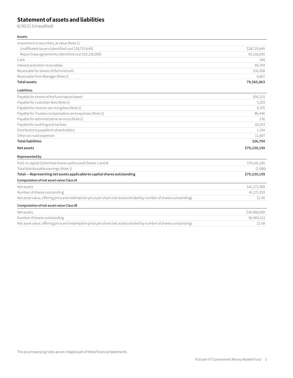## **Statement of assets and liabilities**

6/30/21 (Unaudited)

#### **Assets**

| Investment in securities, at value (Note 1):         |              |
|------------------------------------------------------|--------------|
| Unaffiliated issuers (identified cost \$28,725,645)  | \$28,725,645 |
| Repurchase agreements (identified cost \$50,216,000) | 50,216,000   |
| Cash                                                 | 249          |
| Interest and other receivables                       | 85,704       |
| Receivable for shares of the fund sold               | 531,658      |
| Receivable from Manager (Note 2)                     | 6.607        |
| <b>Total assets</b>                                  | 79,565,863   |

#### **Liabilities**

| Payable for shares of the fund repurchased             | 200,225      |
|--------------------------------------------------------|--------------|
| Payable for custodian fees (Note 2)                    | 5,103        |
| Payable for investor servicing fees (Note 2)           | 9,370        |
| Payable for Trustee compensation and expenses (Note 2) | 80,446       |
| Payable for administrative services (Note 2)           | 256          |
| Payable for auditing and tax fees                      | 18,503       |
| Distributions payable to shareholders                  | 1,194        |
| Other accrued expenses                                 | 11,607       |
| <b>Total liabilities</b>                               | 326,704      |
| Net assets                                             | \$79,239,159 |
| Represented by                                         |              |

| Paid-in capital (Unlimited shares authorized) (Notes 1 and 4)                                                       | \$79,241,245 |
|---------------------------------------------------------------------------------------------------------------------|--------------|
| Total distributable earnings (Note 1)                                                                               | (2,086)      |
| Total - Representing net assets applicable to capital shares outstanding                                            | \$79,239,159 |
| Computation of net asset value Class IA                                                                             |              |
| Net assets                                                                                                          | \$42,271,069 |
| Number of shares outstanding                                                                                        | 42,271,919   |
| Net asset value, offering price and redemption price per share (net assets divided by number of shares outstanding) | \$1.00       |
| Computation of net asset value Class IB                                                                             |              |
| Net assets                                                                                                          | \$36,968,090 |
| Number of shares outstanding                                                                                        | 36,969,313   |
| Net asset value, offering price and redemption price per share (net assets divided by number of shares outstanding) | \$1.00       |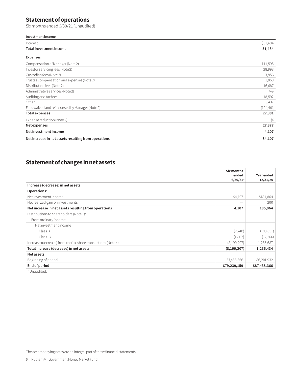## **Statement of operations**

Six months ended 6/30/21 (Unaudited)

#### **Investment income**

| Interest<br>$    -$     |      |
|-------------------------|------|
| Total investment income | .484 |

| <b>Expenses</b>                                      |            |
|------------------------------------------------------|------------|
| Compensation of Manager (Note 2)                     | 111,595    |
| Investor servicing fees (Note 2)                     | 28,998     |
| Custodian fees (Note 2)                              | 3,856      |
| Trustee compensation and expenses (Note 2)           | 1,868      |
| Distribution fees (Note 2)                           | 46,687     |
| Administrative services (Note 2)                     | 749        |
| Auditing and tax fees                                | 18,592     |
| Other                                                | 9,437      |
| Fees waived and reimbursed by Manager (Note 2)       | (194, 401) |
| <b>Total expenses</b>                                | 27,381     |
| Expense reduction (Note 2)                           | (4)        |
| Net expenses                                         | 27,377     |
| Net investment income                                | 4,107      |
| Net increase in net assets resulting from operations | \$4,107    |

## **Statement of changes in net assets**

|                                                              | Six months<br>ended<br>$6/30/21*$ | Year ended<br>12/31/20 |
|--------------------------------------------------------------|-----------------------------------|------------------------|
| Increase (decrease) in net assets                            |                                   |                        |
| Operations:                                                  |                                   |                        |
| Net investment income                                        | \$4,107                           | \$184,864              |
| Net realized gain on investments                             |                                   | 200                    |
| Net increase in net assets resulting from operations         | 4,107                             | 185,064                |
| Distributions to shareholders (Note 1):                      |                                   |                        |
| From ordinary income                                         |                                   |                        |
| Net investment income                                        |                                   |                        |
| Class IA                                                     | (2,240)                           | (108, 051)             |
| Class IB                                                     | (1,867)                           | (77, 266)              |
| Increase (decrease) from capital share transactions (Note 4) | (8,199,207)                       | 1,236,687              |
| Total increase (decrease) in net assets                      | (8, 199, 207)                     | 1,236,434              |
| Net assets:                                                  |                                   |                        |
| Beginning of period                                          | 87,438,366                        | 86,201,932             |
| End of period<br>$40.11$ $10.11$ $10.11$                     | \$79,239,159                      | \$87,438,366           |

Unaudited.

The accompanying notes are an integral part of these financial statements.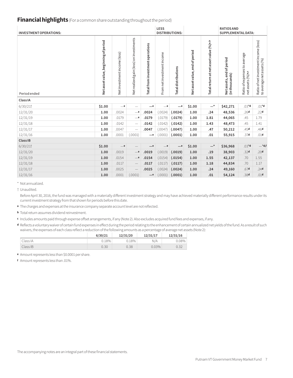## **Financial highlights** (For a common share outstanding throughout the period)

| <b>INVESTMENT OPERATIONS:</b> |                                      |                              |                                           |                                  | LESS                       | <b>DISTRIBUTIONS:</b>      |                                |                                          | <b>RATIOS AND</b><br><b>SUPPLEMENTAL DATA:</b> |                                                  |                                                                    |
|-------------------------------|--------------------------------------|------------------------------|-------------------------------------------|----------------------------------|----------------------------|----------------------------|--------------------------------|------------------------------------------|------------------------------------------------|--------------------------------------------------|--------------------------------------------------------------------|
| Period ended                  | Net asset value, beginning of period | Net investment income (loss) | gain (loss) on investments<br>Netrealized | Total from investment operations | From net investment income | <b>Total distributions</b> | Net asset value, end of period | Total return at net asset value (%) a, b | Net assets, end of period<br>(in thousands)    | Ratio of expenses to average<br>netassets (%)a,c | Ratio of net investment income (loss)<br>to average net assets (%) |
| Class IA                      |                                      |                              |                                           |                                  |                            |                            |                                |                                          |                                                |                                                  |                                                                    |
| 6/30/21                       | \$1.00                               | $-e$                         |                                           | $-e$                             | $-\mathsf{e}$              | $-$ e                      | \$1.00                         | $-^{\star}$                              | \$42,271                                       | $.03*$ d                                         | $.01*$ d                                                           |
| 12/31/20                      | 1.00                                 | .0024                        | $-\mathsf{e}$                             | .0024                            | (.0024)                    | (.0024)                    | 1.00                           | .24                                      | 48,536                                         | .26 <sub>d</sub>                                 | .22 <sub>d</sub>                                                   |
| 12/31/19                      | 1.00                                 | .0179                        | $-\mathsf{e}$                             | .0179                            | (.0179)                    | (.0179)                    | 1.00                           | 1.81                                     | 44,065                                         | .45                                              | 1.79                                                               |
| 12/31/18                      | 1.00                                 | .0142                        | $\overline{\phantom{m}}$                  | .0142                            | (.0142)                    | (.0142)                    | 1.00                           | 1.43                                     | 48,473                                         | .45                                              | 1.41                                                               |
| 12/31/17                      | 1.00                                 | .0047                        | $\overline{\phantom{m}}$                  | .0047                            | (.0047)                    | (.0047)                    | 1.00                           | .47                                      | 50,212                                         | .45d                                             | .46d                                                               |
| 12/31/16                      | 1.00                                 | .0001                        | (.0001)                                   | $-e$                             | (.0001)                    | (.0001)                    | 1.00                           | .01                                      | 55,915                                         | .37 <sub>d</sub>                                 | .01 <sub>d</sub>                                                   |
| Class IB                      |                                      |                              |                                           |                                  |                            |                            |                                |                                          |                                                |                                                  |                                                                    |
| 6/30/21                       | \$1.00                               | $-\mathsf{e}$                | $\qquad \qquad -$                         | $-{\rm e}$                       | $-e$                       | $-\mathsf{e}$              | \$1.00                         | $-^{\star}$                              | \$36,968                                       | $.03*$ d                                         | $-*$ d,f                                                           |
| 12/31/20                      | 1.00                                 | .0019                        | $-\mathsf{e}$                             | .0019                            | (.0019)                    | (.0019)                    | 1.00                           | .19                                      | 38,903                                         | .32 <sub>d</sub>                                 | .20 <sub>d</sub>                                                   |
| 12/31/19                      | 1.00                                 | .0154                        | $-\mathsf{e}$                             | .0154                            | (.0154)                    | (.0154)                    | 1.00                           | 1.55                                     | 42,137                                         | .70                                              | 1.55                                                               |
| 12/31/18                      | 1.00                                 | .0117                        | $\overline{\phantom{m}}$                  | .0117                            | (.0117)                    | (.0117)                    | 1.00                           | 1.18                                     | 44,834                                         | .70                                              | 1.17                                                               |
| 12/31/17                      | 1.00                                 | .0025                        |                                           | .0025                            | (.0024)                    | (.0024)                    | 1.00                           | .24                                      | 49,160                                         | .67d                                             | .24 <sub>d</sub>                                                   |
| 12/31/16                      | 1.00                                 | .0001                        | (.0001)                                   | $-$ e                            | (.0001)                    | (.0001)                    | 1.00                           | .01                                      | 54,124                                         | .38d                                             | .01 <sub>d</sub>                                                   |

\* Not annualized.

† Unaudited.

Before April 30, 2016, the fund was managed with a materially different investment strategy and may have achieved materially different performance results under its current investment strategy from that shown for periods before this date.

**<sup>a</sup>** The charges and expenses at the insurance company separate account level are not reflected.

**<sup>b</sup>** Total return assumes dividend reinvestment.

- **<sup>c</sup>** Includes amounts paid through expense offset arrangements, if any (Note 2). Also excludes acquired fund fees and expenses, if any.
- **<sup>d</sup>** Reflects a voluntary waiver of certain fund expenses in effect during the period relating to the enhancement of certain annualized net yields of the fund. As a result of such waivers, the expenses of each class reflect a reduction of the following amounts as a percentage of average net assets (Note 2):

|          | 6/30/21 | 12/31/20 | 12/31/17 | 12/31/16 |
|----------|---------|----------|----------|----------|
| Class IA | 0.18%   | 0.18%    | N/A      | 0.08%    |
| Class IB | 0.30    | 0.38     | 0.03%    | 0.32     |

**<sup>e</sup>** Amount represents less than \$0.0001 per share.

**<sup>f</sup>** Amount represents less than .01%.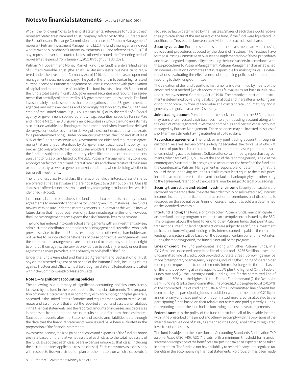### **Notes to financial statements** 6/30/21 (Unaudited)

Within the following Notes to financial statements, references to "State Street" represent State Street Bank and Trust Company, references to "the SEC" represent the Securities and Exchange Commission, references to "Putnam Management" represent Putnam Investment Management, LLC, the fund's manager, an indirect wholly-owned subsidiary of Putnam Investments, LLC and references to "OTC", if any, represent over-the-counter. Unless otherwise noted, the "reporting period" represents the period from January 1, 2021 through June 30, 2021.

Putnam VT Government Money Market Fund (the fund) is a diversified series of Putnam Variable Trust (the Trust), a Massachusetts business trust registered under the Investment Company Act of 1940, as amended, as an open-end management investment company. The goal of the fund is to seek as high a rate of current income as Putnam Management believes is consistent with preservation of capital and maintenance of liquidity. The fund invests at least 99.5 percent of the fund's total assets in cash, U.S. government securities and repurchase agreements that are fully collateralized by U.S. government securities or cash. The fund invests mainly in debt securities that are obligations of the U.S. government, its agencies and instrumentalities and accordingly are backed by the full faith and credit of the United States (e.g., U.S. Treasury bills) or by the credit of a federal agency or government-sponsored entity (e.g., securities issued by Fannie Mae and Freddie Mac). The U.S. government securities in which the fund invests may also include variable and floating rate instruments and when-issued and delayed delivery securities (i.e., payment or delivery of the securities occurs at a future date for a predetermined price). Under normal circumstances, the fund invests at least 80% of the fund's net assets in U.S. government securities and repurchase agreements that are fully collateralized by U.S. government securities. This policy may be changed only after 60 days' notice to shareholders. The securities purchased by the fund are subject to quality, maturity, diversification and other requirements pursuant to rules promulgated by the SEC. Putnam Management may consider, among other factors, credit and interest rate risks and characteristics of the issuer or counterparty, as well as general market conditions, when deciding whether to buy or sell investments.

The fund offers class IA and class IB shares of beneficial interest. Class IA shares are offered at net asset value and are not subject to a distribution fee. Class IB shares are offered at net asset value and pay an ongoing distribution fee, which is identified in Note 2.

In the normal course of business, the fund enters into contracts that may include agreements to indemnify another party under given circumstances. The fund's maximum exposure under these arrangements is unknown as this would involve future claims that may be, but have not yet been, made against the fund. However, the fund's management team expects the risk of material loss to be remote.

The fund has entered into contractual arrangements with an investment adviser, administrator, distributor, shareholder servicing agent and custodian, who each provide services to the fund. Unless expressly stated otherwise, shareholders are not parties to, or intended beneficiaries of these contractual arrangements, and these contractual arrangements are not intended to create any shareholder right to enforce them against the service providers or to seek any remedy under them against the service providers, either directly or on behalf of the fund.

Under the fund's Amended and Restated Agreement and Declaration of Trust, any claims asserted against or on behalf of the Putnam Funds, including claims against Trustees and Officers, must be brought in state and federal courts located within the Commonwealth of Massachusetts.

#### **Note 1 — Significant accounting policies**

The following is a summary of significant accounting policies consistently followed by the fund in the preparation of its financial statements. The preparation of financial statements is in conformity with accounting principles generally accepted in the United States of America and requires management to make estimates and assumptions that affect the reported amounts of assets and liabilities in the financial statements and the reported amounts of increases and decreases in net assets from operations. Actual results could differ from those estimates. Subsequent events after the Statement of assets and liabilities date through the date that the financial statements were issued have been evaluated in the preparation of the financial statements.

Investment income, realized gains and losses and expenses of the fund are borne pro-rata based on the relative net assets of each class to the total net assets of the fund, except that each class bears expenses unique to that class (including the distribution fees applicable to such classes). Each class votes as a class only with respect to its own distribution plan or other matters on which a class vote is required by law or determined by the Trustees. Shares of each class would receive their pro-rata share of the net assets of the fund, if the fund were liquidated. In addition, the Trustees declare separate dividends on each class of shares.

**Security valuation** Portfolio securities and other investments are valued using policies and procedures adopted by the Board of Trustees. The Trustees have formed a Pricing Committee to oversee the implementation of these procedures and have delegated responsibility for valuing the fund's assets in accordance with these procedures to Putnam Management. Putnam Management has established an internal Valuation Committee that is responsible for making fair value determinations, evaluating the effectiveness of the pricing policies of the fund and reporting to the Pricing Committee.

The valuation of the fund's portfolio instruments is determined by means of the amortized cost method (which approximates fair value) as set forth in Rule 2a–7 under the Investment Company Act of 1940. The amortized cost of an instrument is determined by valuing it at its original cost and thereafter amortizing any discount or premium from its face value at a constant rate until maturity and is generally categorized as a Level 2 security.

**Joint trading account** Pursuant to an exemptive order from the SEC, the fund may transfer uninvested cash balances into a joint trading account along with the cash of other registered investment companies and certain other accounts managed by Putnam Management. These balances may be invested in issues of short-term investments having maturities of up to 90 days.

**Repurchase agreements** The fund, or any joint trading account, through its custodian, receives delivery of the underlying securities, the fair value of which at the time of purchase is required to be in an amount at least equal to the resale price, including accrued interest. Collateral for certain tri-party repurchase agreements, which totaled \$51,220,345 at the end of the reporting period, is held at the counterparty's custodian in a segregated account for the benefit of the fund and the counterparty. Putnam Management is responsible for determining that the value of these underlying securities is at all times at least equal to the resale price, including accrued interest. In the event of default or bankruptcy by the other party to the agreement, retention of the collateral may be subject to legal proceedings.

**Security transactions and related investment income** Security transactions are recorded on the trade date (the date the order to buy or sell is executed). Interest income, including amortization and accretion of premiums and discounts, is recorded on the accrual basis. Gains or losses on securities sold are determined on the identified cost basis.

**Interfund lending** The fund, along with other Putnam funds, may participate in an interfund lending program pursuant to an exemptive order issued by the SEC. This program allows the fund to lend to other Putnam funds that permit such transactions. Interfund lending transactions are subject to each fund's investment policies and borrowing and lending limits. Interest earned or paid on the interfund lending transaction will be based on the average of certain current market rates. During the reporting period, the fund did not utilize the program.

**Lines of credit** The fund participates, along with other Putnam funds, in a \$317.5 million unsecured committed line of credit and a \$235.5 million unsecured uncommitted line of credit, both provided by State Street. Borrowings may be made for temporary or emergency purposes, including the funding of shareholder redemption requests and trade settlements. Interest is charged to the fund based on the fund's borrowing at a rate equal to 1.25% plus the higher of (1) the Federal Funds rate and (2) the Overnight Bank Funding Rate for the committed line of credit and 1.30% plus the higher of (1) the Federal Funds rate and (2) the Overnight Bank Funding Rate for the uncommitted line of credit. A closing fee equal to 0.04% of the committed line of credit and 0.04% of the uncommitted line of credit has been paid by the participating funds. In addition, a commitment fee of 0.21% per annum on any unutilized portion of the committed line of credit is allocated to the participating funds based on their relative net assets and paid quarterly. During the reporting period, the fund had no borrowings against these arrangements.

**Federal taxes** It is the policy of the fund to distribute all of its taxable income within the prescribed time period and otherwise comply with the provisions of the Internal Revenue Code of 1986, as amended (the Code), applicable to regulated investment companies.

The fund is subject to the provisions of Accounting Standards Codification 740 *Income Taxes* (ASC 740). ASC 740 sets forth a minimum threshold for financial statement recognition of the benefit of a tax position taken or expected to be taken in a tax return. The fund did not have a liability to record for any unrecognized tax benefits in the accompanying financial statements. No provision has been made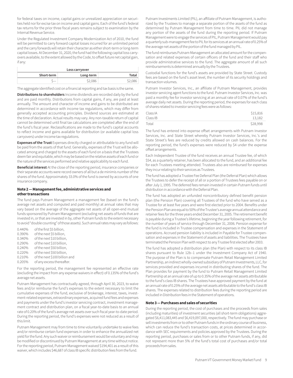for federal taxes on income, capital gains or unrealized appreciation on securities held nor for excise tax on income and capital gains. Each of the fund's federal tax returns for the prior three fiscal years remains subject to examination by the Internal Revenue Service.

Under the Regulated Investment Company Modernization Act of 2010, the fund will be permitted to carry forward capital losses incurred for an unlimited period and the carry forwards will retain their character as either short-term or long-term capital losses. At December 31, 2020, the fund had the following capital loss carryovers available, to the extent allowed by the Code, to offset future net capital gain, if any:

| Loss carryover |         |         |  |  |
|----------------|---------|---------|--|--|
| Short-term     | Total   |         |  |  |
|                | \$2,086 | \$2,086 |  |  |

The aggregate identified cost on a financial reporting and tax basis is the same.

**Distributions to shareholders** Income dividends are recorded daily by the fund and are paid monthly. Distributions from capital gains, if any, are paid at least annually. The amount and character of income and gains to be distributed are determined in accordance with income tax regulations, which may differ from generally accepted accounting principles. Dividend sources are estimated at the time of declaration. Actual results may vary. Any non-taxable return of capital cannot be determined until final tax calculations are completed after the end of the fund's fiscal year. Reclassifications are made to the fund's capital accounts to reflect income and gains available for distribution (or available capital loss carryovers) under income tax regulations.

**Expenses of the Trust** Expenses directly charged or attributable to any fund will be paid from the assets of that fund. Generally, expenses of the Trust will be allocated among and charged to the assets of each fund on a basis that the Trustees deem fair and equitable, which may be based on the relative assets of each fund or the nature of the services performed and relative applicability to each fund.

**Beneficial interest** At the close of the reporting period, insurance companies or their separate accounts were record owners of all but a de minimis number of the shares of the fund. Approximately 33.0% of the fund is owned by accounts of one insurance company.

#### **Note 2 — Management fee, administrative services and other transactions**

The fund pays Putnam Management a management fee (based on the fund's average net assets and computed and paid monthly) at annual rates that may vary based on the average of the aggregate net assets of all open-end mutual funds sponsored by Putnam Management (excluding net assets of funds that are invested in, or that are invested in by, other Putnam funds to the extent necessary to avoid "double counting" of those assets). Such annual rates may vary as follows:

| 0.440% | of the first \$5 billion,     |
|--------|-------------------------------|
| 0.390% | of the next \$5 billion,      |
| 0.340% | of the next \$10 billion,     |
| 0.290% | of the next \$10 billion.     |
| 0.240% | of the next \$50 billion,     |
| 0.220% | of the next \$50 billion,     |
| 0.210% | of the next \$100 billion and |
| 0.205% | of any excess thereafter.     |

For the reporting period, the management fee represented an effective rate (excluding the impact from any expense waivers in effect) of 0.135% of the fund's average net assets.

Putnam Management has contractually agreed, through April 30, 2023, to waive fees and/or reimburse the fund's expenses to the extent necessary to limit the cumulative expenses of the fund, exclusive of brokerage, interest, taxes, investment-related expenses, extraordinary expenses, acquired fund fees and expenses and payments under the fund's investor servicing contract, investment management contract and distribution plan, on a fiscal year-to-date basis to an annual rate of 0.20% of the fund's average net assets over such fiscal year-to-date period. During the reporting period, the fund's expenses were not reduced as a result of this limit.

Putnam Management may from time to time voluntarily undertake to waive fees and/or reimburse certain fund expenses in order to enhance the annualized net yield for the fund. Any such waiver or reimbursement would be voluntary and may be modified or discontinued by Putnam Management at any time without notice. For the reporting period, Putnam Management waived \$194,401 as a result of this waiver, which includes \$46,687 of class IB specific distribution fees from the fund.

Putnam Investments Limited (PIL), an affiliate of Putnam Management, is authorized by the Trustees to manage a separate portion of the assets of the fund as determined by Putnam Management from time to time. PIL did not manage any portion of the assets of the fund during the reporting period. If Putnam Management were to engage the services of PIL, Putnam Management would pay a quarterly sub-management fee to PIL for its services at an annual rate of 0.25% of the average net assets of the portion of the fund managed by PIL.

The fund reimburses Putnam Management an allocated amount for the compensation and related expenses of certain officers of the fund and their staff who provide administrative services to the fund. The aggregate amount of all such reimbursements is determined annually by the Trustees.

Custodial functions for the fund's assets are provided by State Street. Custody fees are based on the fund's asset level, the number of its security holdings and transaction volumes.

Putnam Investor Services, Inc., an affiliate of Putnam Management, provides investor servicing agent functions to the fund. Putnam Investor Services, Inc. was paid a monthly fee for investor servicing at an annual rate of 0.07% of the fund's average daily net assets. During the reporting period, the expenses for each class of shares related to investor servicing fees were as follows:

| Class IA | \$15,816 |
|----------|----------|
| Class IB | 13.182   |
| Total    | \$28,998 |

The fund has entered into expense offset arrangements with Putnam Investor Services, Inc. and State Street whereby Putnam Investor Services, Inc.'s and State Street's fees are reduced by credits allowed on cash balances. For the reporting period, the fund's expenses were reduced by \$4 under the expense offset arrangements.

Each Independent Trustee of the fund receives an annual Trustee fee, of which \$54, as a quarterly retainer, has been allocated to the fund, and an additional fee for each Trustees meeting attended. Trustees also are reimbursed for expenses they incur relating to their services as Trustees.

The fund has adopted a Trustee Fee Deferral Plan (the Deferral Plan) which allows the Trustees to defer the receipt of all or a portion of Trustees fees payable on or after July 1, 1995. The deferred fees remain invested in certain Putnam funds until distribution in accordance with the Deferral Plan.

The fund has adopted an unfunded noncontributory defined benefit pension plan (the Pension Plan) covering all Trustees of the fund who have served as a Trustee for at least five years and were first elected prior to 2004. Benefits under the Pension Plan are equal to 50% of the Trustee's average annual attendance and retainer fees for the three years ended December 31, 2005. The retirement benefit is payable during a Trustee's lifetime, beginning the year following retirement, for the number of years of service through December 31, 2006. Pension expense for the fund is included in Trustee compensation and expenses in the Statement of operations. Accrued pension liability is included in Payable for Trustee compensation and expenses in the Statement of assets and liabilities. The Trustees have terminated the Pension Plan with respect to any Trustee first elected after 2003.

The fund has adopted a distribution plan (the Plan) with respect to its class IB shares pursuant to Rule 12b–1 under the Investment Company Act of 1940. The purpose of the Plan is to compensate Putnam Retail Management Limited Partnership, an indirect wholly-owned subsidiary of Putnam Investments, LLC, for services provided and expenses incurred in distributing shares of the fund. The Plan provides for payment by the fund to Putnam Retail Management Limited Partnership at an annual rate of up to 0.35% of the average net assets attributable to the fund's class IB shares. The Trustees have approved payment by the fund at an annual rate of 0.25% of the average net assets attributable to the fund's class IB shares. The expenses related to distribution fees during the reporting period are included in Distribution fees in the Statement of operations.

#### **Note 3 — Purchases and sales of securities**

During the reporting period, the cost of purchases and the proceeds from sales (including maturities) of investment securities (all short-term obligations) aggregated \$6,411,083,445 and \$6,419,097,000, respectively. The fund may purchase or sell investments from or to other Putnam funds in the ordinary course of business, which can reduce the fund's transaction costs, at prices determined in accordance with SEC requirements and policies approved by the Trustees. During the reporting period, purchases or sales from or to other Putnam funds, if any, did not represent more than 5% of the fund's total cost of purchases and/or total proceeds from sales.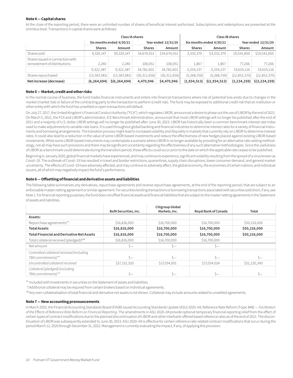#### **Note 4 — Capital shares**

At the close of the reporting period, there were an unlimited number of shares of beneficial interest authorized. Subscriptions and redemptions are presented at the omnibus level. Transactions in capital shares were as follows:

|                                                                   | <b>Class IA shares</b> |                                                 |               |                |               | Class IB shares          |                     |                |
|-------------------------------------------------------------------|------------------------|-------------------------------------------------|---------------|----------------|---------------|--------------------------|---------------------|----------------|
|                                                                   |                        | Six months ended 6/30/21<br>Year ended 12/31/20 |               |                |               | Six months ended 6/30/21 | Year ended 12/31/20 |                |
|                                                                   | <b>Shares</b>          | Amount                                          | <b>Shares</b> | Amount         | <b>Shares</b> | Amount                   | <b>Shares</b>       | Amount         |
| Shares sold                                                       | 9,320,147              | \$9,320,147                                     | 34,674,551    | \$34,674,551   | 3,332,370     | \$3,332,370              | 19,541,850          | \$19,541,850   |
| Shares issued in connection with<br>reinvestment of distributions | 2.240                  | 2.240                                           | 108,051       | 108,051        | 1,867         | 1,867                    | 77.266              | 77,266         |
|                                                                   | 9,322,387              | 9,322,387                                       | 34,782,602    | 34,782,602     | 3,334,237     | 3,334,237                | 19,619,116          | 19,619,116     |
| Shares repurchased                                                | (15, 587, 081)         | (15, 587, 081)                                  | (30,311,656)  | (30, 311, 656) | (5,268,750)   | (5,268,750)              | (22, 853, 375)      | (22, 853, 375) |
| Net increase (decrease)                                           | (6, 264, 694)          | \$(6, 264, 694)                                 | 4,470,946     | \$4,470,946    | (1, 934, 513) | \$(1,934,513)            | (3, 234, 259)       | \$(3,234,259)  |

#### **Note 5 — Market, credit and other risks**

In the normal course of business, the fund trades financial instruments and enters into financial transactions where risk of potential loss exists due to changes in the market (market risk) or failure of the contracting party to the transaction to perform (credit risk). The fund may be exposed to additional credit risk that an institution or other entity with which the fund has unsettled or open transactions will default.

On July 27, 2017, the United Kingdom's Financial Conduct Authority ("FCA"), which regulates LIBOR, announced a desire to phase out the use of LIBOR by the end of 2021. On March 5, 2021, the FCA and LIBOR's administrator, ICE Benchmark Administration, announced that most LIBOR settings will no longer be published after the end of 2021 and a majority of U.S. dollar LIBOR settings will no longer be published after June 30, 2023. LIBOR has historically been a common benchmark interest rate index used to make adjustments to variable-rate loans. It is used throughout global banking and financial industries to determine interest rates for a variety of financial instruments and borrowing arrangements. The transition process might lead to increased volatility and illiquidity in markets that currently rely on LIBOR to determine interest rates. It could also lead to a reduction in the value of some LIBOR-based investments and reduce the effectiveness of new hedges placed against existing LIBOR-based investments. While some LIBOR-based instruments may contemplate a scenario where LIBOR is no longer available by providing for an alternative rate-setting methodology, not all may have such provisions and there may be significant uncertainty regarding the effectiveness of any such alternative methodologies. Since the usefulness of LIBOR as a benchmark could deteriorate during the transition period, these effects could occur prior to the date on which the applicable rate ceases to be published.

Beginning in January 2020, global financial markets have experienced, and may continue to experience, significant volatility resulting from the spread of a virus known as Covid–19. The outbreak of Covid–19 has resulted in travel and border restrictions, quarantines, supply chain disruptions, lower consumer demand, and general market uncertainty. The effects of Covid–19 have adversely affected, and may continue to adversely affect, the global economy, the economies of certain nations, and individual issuers, all of which may negatively impact the fund's performance.

#### **Note 6 — Offsetting of financial and derivative assets and liabilities**

The following table summarizes any derivatives, repurchase agreements and reverse repurchase agreements, at the end of the reporting period, that are subject to an enforceable master netting agreement or similar agreement. For securities lending transactions or borrowing transactions associated with securities sold short, if any, see Note 1. For financial reporting purposes, the fund does not offset financial assets and financial liabilities that are subject to the master netting agreements in the Statement of assets and liabilities.

|                                                    | <b>BofA Securities, Inc.</b> | <b>Citigroup Global</b><br>Markets, Inc. | Royal Bank of Canada | Total        |
|----------------------------------------------------|------------------------------|------------------------------------------|----------------------|--------------|
| Assets:                                            |                              |                                          |                      |              |
| Repurchase agreements**                            | \$16,816,000                 | \$16,700,000                             | \$16,700,000         | \$50,216,000 |
| <b>Total Assets</b>                                | \$16,816,000                 | \$16,700,000                             | \$16,700,000         | \$50,216,000 |
| <b>Total Financial and Derivative Net Assets</b>   | \$16,816,000                 | \$16,700,000                             | \$16,700,000         | \$50,216,000 |
| Total collateral received (pledged) <sup>†##</sup> | \$16,816,000                 | \$16,700,000                             | \$16,700,000         |              |
| Net amount                                         | S—                           | $s-$                                     | $S-$                 |              |
| Controlled collateral received (including          |                              |                                          |                      |              |
| TBA commitments)**                                 | $\zeta-$                     | $S-$                                     | $\zeta-$             | $S-$         |
| Uncontrolled collateral received                   | \$17,152,320                 | \$17,034,001                             | \$17,034,024         | \$51,220,345 |
| Collateral (pledged) (including                    |                              |                                          |                      |              |
| TBA commitments)**                                 | S—                           | Ŝ—                                       | Š—                   | Ś—           |

\*\* Included with Investments in securities on the Statement of assets and liabilities.

†Additional collateral may be required from certain brokers based on individual agreements.

##Any over-collateralization of total financial and derivative net assets is not shown. Collateral may include amounts related to unsettled agreements.

#### **Note 7 — New accounting pronouncements**

In March 2020, the Financial Accounting Standards Board (FASB) issued Accounting Standards Update (ASU) 2020–04, Reference Rate Reform (Topic 848) — *Facilitation of the Effects of Reference Rate Reform on Financial Reporting*. The amendments in ASU 2020–04 provide optional temporary financial reporting relief from the effect of certain types of contract modifications due to the planned discontinuation of LIBOR and other interbank-offered based reference rates as of the end of 2021. The discontinuation of LIBOR was subsequently extended to June 30, 2023. ASU 2020–04 is effective for certain reference rate-related contract modifications that occur during the period March 12, 2020 through December 31, 2022. Management is currently evaluating the impact, if any, of applying this provision.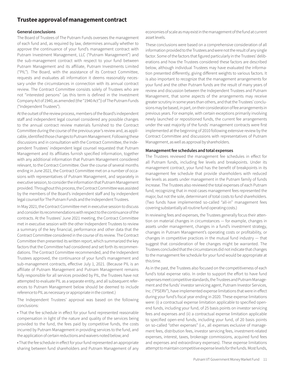## **Trustee approval of management contract**

#### **General conclusions**

The Board of Trustees of The Putnam Funds oversees the management of each fund and, as required by law, determines annually whether to approve the continuance of your fund's management contract with Putnam Investment Management, LLC ("Putnam Management") and the sub-management contract with respect to your fund between Putnam Management and its affiliate, Putnam Investments Limited ("PIL"). The Board, with the assistance of its Contract Committee, requests and evaluates all information it deems reasonably necessary under the circumstances in connection with its annual contract review. The Contract Committee consists solely of Trustees who are not "interested persons" (as this term is defined in the Investment Company Act of 1940, as amended (the "1940 Act")) of The Putnam Funds ("Independent Trustees").

At the outset of the review process, members of the Board's independent staff and independent legal counsel considered any possible changes to the annual contract review materials furnished to the Contract Committee during the course of the previous year's review and, as applicable, identified those changes to Putnam Management. Following these discussions and in consultation with the Contract Committee, the Independent Trustees' independent legal counsel requested that Putnam Management and its affiliates furnish specified information, together with any additional information that Putnam Management considered relevant, to the Contract Committee. Over the course of several months ending in June 2021, the Contract Committee met on a number of occasions with representatives of Putnam Management, and separately in executive session, to consider the information that Putnam Management provided. Throughout this process, the Contract Committee was assisted by the members of the Board's independent staff and by independent legal counsel for The Putnam Funds and the Independent Trustees.

In May 2021, the Contract Committee met in executive session to discuss and consider its recommendations with respect to the continuance of the contracts. At the Trustees' June 2021 meeting, the Contract Committee met in executive session with the other Independent Trustees to review a summary of the key financial, performance and other data that the Contract Committee considered in the course of its review. The Contract Committee then presented its written report, which summarized the key factors that the Committee had considered and set forth its recommendations. The Contract Committee recommended, and the Independent Trustees approved, the continuance of your fund's management and sub-management contracts, effective July 1, 2021. (Because PIL is an affiliate of Putnam Management and Putnam Management remains fully responsible for all services provided by PIL, the Trustees have not attempted to evaluate PIL as a separate entity, and all subsequent references to Putnam Management below should be deemed to include reference to PIL as necessary or appropriate in the context.)

The Independent Trustees' approval was based on the following conclusions:

• That the fee schedule in effect for your fund represented reasonable compensation in light of the nature and quality of the services being provided to the fund, the fees paid by competitive funds, the costs incurred by Putnam Management in providing services to the fund, and the application of certain reductions and waivers noted below; and

• That the fee schedule in effect for your fund represented an appropriate sharing between fund shareholders and Putnam Management of any

economies of scale as may exist in the management of the fund at current asset levels.

These conclusions were based on a comprehensive consideration of all information provided to the Trustees and were not the result of any single factor. Some of the factors that figured particularly in the Trustees' deliberations and how the Trustees considered these factors are described below, although individual Trustees may have evaluated the information presented differently, giving different weights to various factors. It is also important to recognize that the management arrangements for your fund and the other Putnam funds are the result of many years of review and discussion between the Independent Trustees and Putnam Management, that some aspects of the arrangements may receive greater scrutiny in some years than others, and that the Trustees' conclusions may be based, in part, on their consideration of fee arrangements in previous years. For example, with certain exceptions primarily involving newly launched or repositioned funds, the current fee arrangements under the vast majority of the funds' management contracts were first implemented at the beginning of 2010 following extensive review by the Contract Committee and discussions with representatives of Putnam Management, as well as approval by shareholders.

#### **Management fee schedules and total expenses**

The Trustees reviewed the management fee schedules in effect for all Putnam funds, including fee levels and breakpoints. Under its management contract, your fund has the benefit of breakpoints in its management fee schedule that provide shareholders with reduced fee levels as assets under management in the Putnam family of funds increase. The Trustees also reviewed the total expenses of each Putnam fund, recognizing that in most cases management fees represented the major, but not the sole, determinant of total costs to fund shareholders. (Two funds have implemented so-called "all-in" management fees covering substantially all routine fund operating costs.)

In reviewing fees and expenses, the Trustees generally focus their attention on material changes in circumstances — for example, changes in assets under management, changes in a fund's investment strategy, changes in Putnam Management's operating costs or profitability, or changes in competitive practices in the mutual fund industry — that suggest that consideration of fee changes might be warranted. The Trustees concluded that the circumstances did not indicate that changes to the management fee schedule for your fund would be appropriate at this time.

As in the past, the Trustees also focused on the competitiveness of each fund's total expense ratio. In order to support the effort to have fund expenses meet competitive standards, the Trustees and Putnam Management and the funds' investor servicing agent, Putnam Investor Services, Inc. ("PSERV"), have implemented expense limitations that were in effect during your fund's fiscal year ending in 2020. These expense limitations were: (i) a contractual expense limitation applicable to specified openend funds, including your fund, of 25 basis points on investor servicing fees and expenses and (ii) a contractual expense limitation applicable to specified open-end funds, including your fund, of 20 basis points on so-called "other expenses" (i.e., all expenses exclusive of management fees, distribution fees, investor servicing fees, investment-related expenses, interest, taxes, brokerage commissions, acquired fund fees and expenses and extraordinary expenses). These expense limitations attempt to maintain competitive expense levels for the funds. Most funds,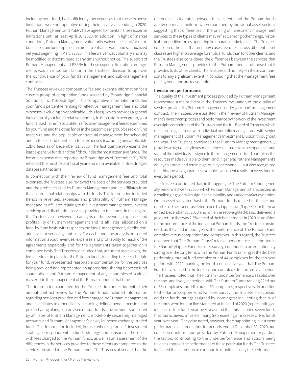including your fund, had sufficiently low expenses that these expense limitations were not operative during their fiscal years ending in 2020. Putnam Management and PSERV have agreed to maintain these expense limitations until at least April 30, 2023. In addition, in light of market conditions, Putnam Management voluntarily waived fees and/or reimbursed certain fund expenses in order to enhance your fund's annualized net yield beginning in March 2020. This fee waiver was voluntary and may be modified or discontinued at any time without notice. The support of Putnam Management and PSERV for these expense limitation arrangements was an important factor in the Trustees' decision to approve the continuance of your fund's management and sub-management contracts.

The Trustees reviewed comparative fee and expense information for a custom group of competitive funds selected by Broadridge Financial Solutions, Inc. ("Broadridge"). This comparative information included your fund's percentile ranking for effective management fees and total expenses (excluding any applicable 12b-1 fees), which provides a general indication of your fund's relative standing. In the custom peer group, your fund ranked in the first quintile in effective management fees (determined for your fund and the other funds in the custom peer group based on fund asset size and the applicable contractual management fee schedule) and in the second quintile in total expenses (excluding any applicable 12b-1 fees) as of December 31, 2020. The first quintile represents the least expensive funds and the fifth quintile the most expensive funds. The fee and expense data reported by Broadridge as of December 31, 2020 reflected the most recent fiscal year-end data available in Broadridge's database at that time.

In connection with their review of fund management fees and total expenses, the Trustees also reviewed the costs of the services provided and the profits realized by Putnam Management and its affiliates from their contractual relationships with the funds. This information included trends in revenues, expenses and profitability of Putnam Management and its affiliates relating to the investment management, investor servicing and distribution services provided to the funds. In this regard, the Trustees also reviewed an analysis of the revenues, expenses and profitability of Putnam Management and its affiliates, allocated on a fund-by-fund basis, with respect to the funds' management, distribution, and investor servicing contracts. For each fund, the analysis presented information about revenues, expenses and profitability for each of the agreements separately and for the agreements taken together on a combined basis. The Trustees concluded that, at current asset levels, the fee schedules in place for the Putnam funds, including the fee schedule for your fund, represented reasonable compensation for the services being provided and represented an appropriate sharing between fund shareholders and Putnam Management of any economies of scale as may exist in the management of the Putnam funds at that time.

The information examined by the Trustees in connection with their annual contract review for the Putnam funds included information regarding services provided and fees charged by Putnam Management and its affiliates to other clients, including defined benefit pension and profit-sharing plans, sub-advised mutual funds, private funds sponsored by affiliates of Putnam Management, model-only separately managed accounts and Putnam Management's newly launched exchange-traded funds. This information included, in cases where a product's investment strategy corresponds with a fund's strategy, comparisons of those fees with fees charged to the Putnam funds, as well as an assessment of the differences in the services provided to these clients as compared to the services provided to the Putnam funds. The Trustees observed that the

differences in fee rates between these clients and the Putnam funds are by no means uniform when examined by individual asset sectors, suggesting that differences in the pricing of investment management services to these types of clients may reflect, among other things, historical competitive forces operating in separate marketplaces. The Trustees considered the fact that in many cases fee rates across different asset classes are higher on average for mutual funds than for other clients, and the Trustees also considered the differences between the services that Putnam Management provides to the Putnam funds and those that it provides to its other clients. The Trustees did not rely on these comparisons to any significant extent in concluding that the management fees paid by your fund are reasonable.

#### **Investment performance**

The quality of the investment process provided by Putnam Management represented a major factor in the Trustees' evaluation of the quality of services provided by Putnam Management under your fund's management contract. The Trustees were assisted in their review of Putnam Management's investment process and performance by the work of the investment oversight committees of the Trustees and the full Board of Trustees, which meet on a regular basis with individual portfolio managers and with senior management of Putnam Management's Investment Division throughout the year. The Trustees concluded that Putnam Management generally provides a high-quality investment process — based on the experience and skills of the individuals assigned to the management of fund portfolios, the resources made available to them, and in general Putnam Management's ability to attract and retain high-quality personnel — but also recognized that this does not guarantee favorable investment results for every fund in every time period.

The Trustees considered that, in the aggregate, The Putnam Funds generally performed well in 2020, which Putnam Management characterized as a challenging year with significant volatility and varied market dynamics. On an asset-weighted basis, the Putnam funds ranked in the second quartile of their peers as determined by Lipper Inc. ("Lipper") for the year ended December 31, 2020 and, on an asset-weighted-basis, delivered a gross return that was 2.3% ahead of their benchmarks in 2020. In addition to the performance of the individual Putnam funds, the Trustees considered, as they had in prior years, the performance of The Putnam Fund complex versus competitor fund complexes. In this regard, the Trustees observed that The Putnam Funds' relative performance, as reported in the Barron's/Lipper Fund Families survey, continued to be exceptionally strong over the long term, with The Putnam Funds ranking as the 3rd best performing mutual fund complex out of 44 complexes for the ten-year period, with 2020 marking the fourth consecutive year that The Putnam Funds have ranked in the top ten fund complexes for the ten-year period. The Trustees noted that The Putnam Funds' performance was solid over the one- and five-year periods, with The Putnam Funds ranking 22nd out of 53 complexes and 14th out of 50 complexes, respectively. In addition to the Barron's/Lipper Fund Families Survey, the Trustees also considered the funds' ratings assigned by Morningstar Inc., noting that 26 of the funds were four- or five-star rated at the end of 2020 (representing an increase of four funds year-over-year) and that this included seven funds that had achieved a five-star rating (representing an increase of two funds year-over-year). They also noted, however, the disappointing investment performance of some funds for periods ended December 31, 2020 and considered information provided by Putnam Management regarding the factors contributing to the underperformance and actions being taken to improve the performance of these particular funds. The Trustees indicated their intention to continue to monitor closely the performance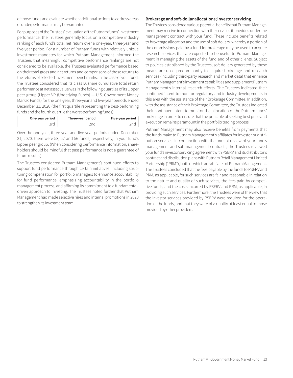of those funds and evaluate whether additional actions to address areas of underperformance may be warranted.

For purposes of the Trustees' evaluation of the Putnam funds' investment performance, the Trustees generally focus on a competitive industry ranking of each fund's total net return over a one-year, three-year and five-year period. For a number of Putnam funds with relatively unique investment mandates for which Putnam Management informed the Trustees that meaningful competitive performance rankings are not considered to be available, the Trustees evaluated performance based on their total gross and net returns and comparisons of those returns to the returns of selected investment benchmarks. In the case of your fund, the Trustees considered that its class IA share cumulative total return performance at net asset value was in the following quartiles of its Lipper peer group (Lipper VP (Underlying Funds) — U.S. Government Money Market Funds) for the one-year, three-year and five-year periods ended December 31, 2020 (the first quartile representing the best-performing funds and the fourth quartile the worst-performing funds):

| One-year period | Three-year period | Five-year period |
|-----------------|-------------------|------------------|
|                 |                   |                  |

Over the one-year, three-year and five-year periods ended December 31, 2020, there were 58, 57 and 56 funds, respectively, in your fund's Lipper peer group. (When considering performance information, shareholders should be mindful that past performance is not a guarantee of future results.)

The Trustees considered Putnam Management's continued efforts to support fund performance through certain initiatives, including structuring compensation for portfolio managers to enhance accountability for fund performance, emphasizing accountability in the portfolio management process, and affirming its commitment to a fundamentaldriven approach to investing. The Trustees noted further that Putnam Management had made selective hires and internal promotions in 2020 to strengthen its investment team.

#### **Brokerage and soft-dollar allocations; investor servicing**

The Trustees considered various potential benefits that Putnam Management may receive in connection with the services it provides under the management contract with your fund. These include benefits related to brokerage allocation and the use of soft dollars, whereby a portion of the commissions paid by a fund for brokerage may be used to acquire research services that are expected to be useful to Putnam Management in managing the assets of the fund and of other clients. Subject to policies established by the Trustees, soft dollars generated by these means are used predominantly to acquire brokerage and research services (including third-party research and market data) that enhance Putnam Management's investment capabilities and supplement Putnam Management's internal research efforts. The Trustees indicated their continued intent to monitor regulatory and industry developments in this area with the assistance of their Brokerage Committee. In addition, with the assistance of their Brokerage Committee, the Trustees indicated their continued intent to monitor the allocation of the Putnam funds' brokerage in order to ensure that the principle of seeking best price and execution remains paramount in the portfolio trading process.

Putnam Management may also receive benefits from payments that the funds make to Putnam Management's affiliates for investor or distribution services. In conjunction with the annual review of your fund's management and sub-management contracts, the Trustees reviewed your fund's investor servicing agreement with PSERV and its distributor's contract and distribution plans with Putnam Retail Management Limited Partnership ("PRM"), both of which are affiliates of Putnam Management. The Trustees concluded that the fees payable by the funds to PSERV and PRM, as applicable, for such services are fair and reasonable in relation to the nature and quality of such services, the fees paid by competitive funds, and the costs incurred by PSERV and PRM, as applicable, in providing such services. Furthermore, the Trustees were of the view that the investor services provided by PSERV were required for the operation of the funds, and that they were of a quality at least equal to those provided by other providers.